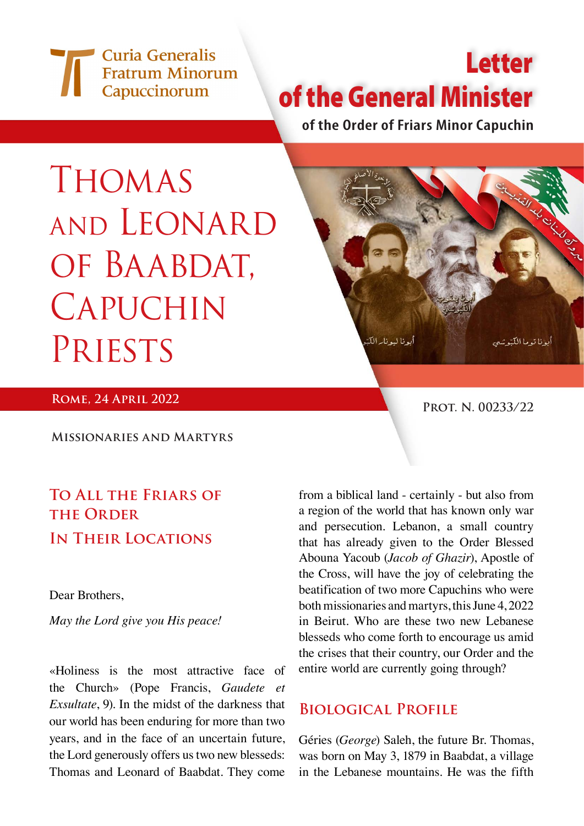Curia Generalis **Fratrum Minorum** Capuccinorum

# Letter of the General Minister

**of the Order of Friars Minor Capuchin**

# **THOMAS** and Leonard of Baabdat, **CAPUCHIN PRIESTS**



**ROME, 24 APRIL 2022 PROT. N. 00233/22** 

**Missionaries and Martyrs**

## **To All the Friars of THE ORDER In Their Locations**

Dear Brothers,

*May the Lord give you His peace!*

«Holiness is the most attractive face of the Church» (Pope Francis, *Gaudete et Exsultate*, 9). In the midst of the darkness that our world has been enduring for more than two years, and in the face of an uncertain future, the Lord generously offers us two new blesseds: Thomas and Leonard of Baabdat. They come

from a biblical land - certainly - but also from a region of the world that has known only war and persecution. Lebanon, a small country that has already given to the Order Blessed Abouna Yacoub (*Jacob of Ghazir*), Apostle of the Cross, will have the joy of celebrating the beatification of two more Capuchins who were both missionaries and martyrs, this June 4, 2022 in Beirut. Who are these two new Lebanese blesseds who come forth to encourage us amid the crises that their country, our Order and the entire world are currently going through?

### **Biological Profile**

Géries (*George*) Saleh, the future Br. Thomas, was born on May 3, 1879 in Baabdat, a village in the Lebanese mountains. He was the fifth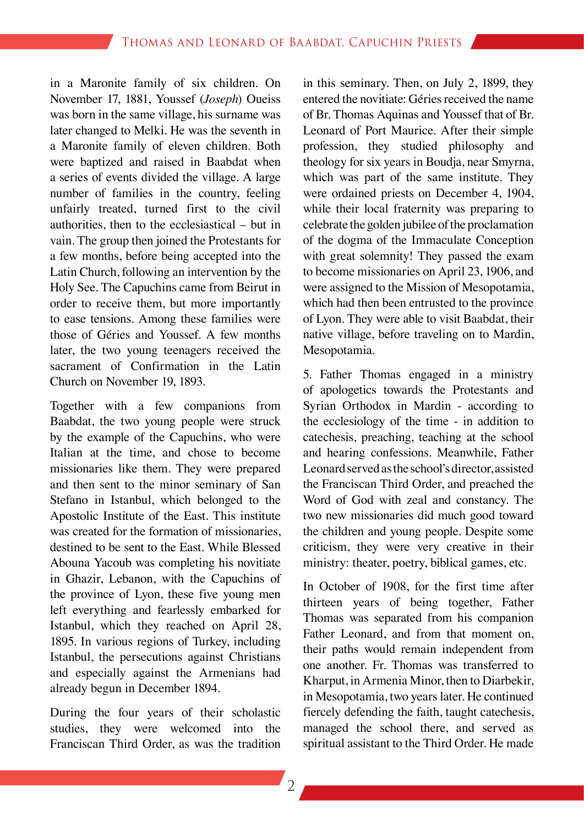in a Maronite family of six children. On November 17, 1881, Youssef (*Joseph*) Oueiss was born in the same village, his surname was later changed to Melki. He was the seventh in a Maronite family of eleven children. Both were baptized and raised in Baabdat when a series of events divided the village. A large number of families in the country, feeling unfairly treated, turned first to the civil authorities, then to the ecclesiastical – but in vain. The group then joined the Protestants for a few months, before being accepted into the Latin Church, following an intervention by the Holy See. The Capuchins came from Beirut in order to receive them, but more importantly to ease tensions. Among these families were those of Géries and Youssef. A few months later, the two young teenagers received the sacrament of Confirmation in the Latin Church on November 19, 1893.

Together with a few companions from Baabdat, the two young people were struck by the example of the Capuchins, who were Italian at the time, and chose to become missionaries like them. They were prepared and then sent to the minor seminary of San Stefano in Istanbul, which belonged to the Apostolic Institute of the East. This institute was created for the formation of missionaries, destined to be sent to the East. While Blessed Abouna Yacoub was completing his novitiate in Ghazir, Lebanon, with the Capuchins of the province of Lyon, these five young men left everything and fearlessly embarked for Istanbul, which they reached on April 28, 1895. In various regions of Turkey, including Istanbul, the persecutions against Christians and especially against the Armenians had already begun in December 1894.

During the four years of their scholastic studies, they were welcomed into the Franciscan Third Order, as was the tradition

in this seminary. Then, on July 2, 1899, they entered the novitiate: Géries received the name of Br. Thomas Aquinas and Youssef that of Br. Leonard of Port Maurice. After their simple profession, they studied philosophy and theology for six years in Boudja, near Smyrna, which was part of the same institute. They were ordained priests on December 4, 1904, while their local fraternity was preparing to celebrate the golden jubilee of the proclamation of the dogma of the Immaculate Conception with great solemnity! They passed the exam to become missionaries on April 23, 1906, and were assigned to the Mission of Mesopotamia, which had then been entrusted to the province of Lyon. They were able to visit Baabdat, their native village, before traveling on to Mardin, Mesopotamia.

5. Father Thomas engaged in a ministry of apologetics towards the Protestants and Syrian Orthodox in Mardin - according to the ecclesiology of the time - in addition to catechesis, preaching, teaching at the school and hearing confessions. Meanwhile, Father Leonard served as the school's director, assisted the Franciscan Third Order, and preached the Word of God with zeal and constancy. The two new missionaries did much good toward the children and young people. Despite some criticism, they were very creative in their ministry: theater, poetry, biblical games, etc.

In October of 1908, for the first time after thirteen years of being together, Father Thomas was separated from his companion Father Leonard, and from that moment on, their paths would remain independent from one another. Fr. Thomas was transferred to Kharput, in Armenia Minor, then to Diarbekir, in Mesopotamia, two years later. He continued fiercely defending the faith, taught catechesis, managed the school there, and served as spiritual assistant to the Third Order. He made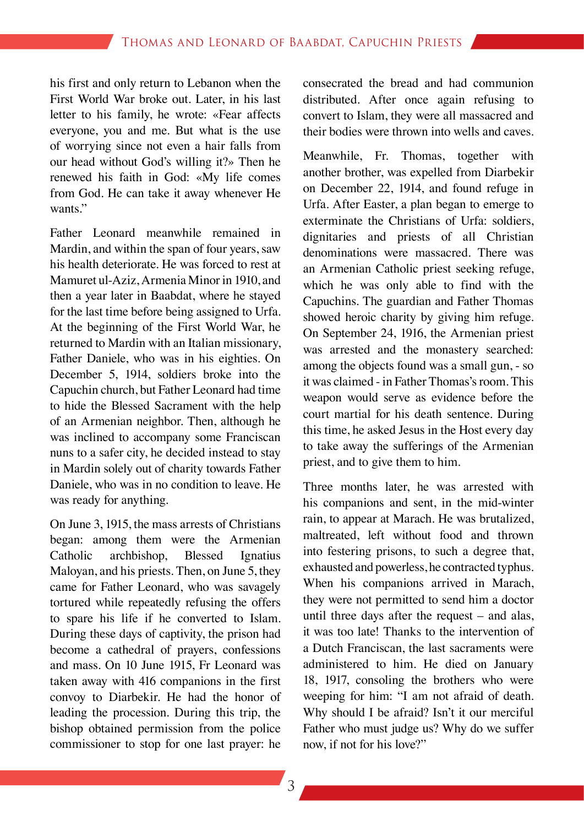his first and only return to Lebanon when the First World War broke out. Later, in his last letter to his family, he wrote: «Fear affects everyone, you and me. But what is the use of worrying since not even a hair falls from our head without God's willing it?» Then he renewed his faith in God: «My life comes from God. He can take it away whenever He wants."

Father Leonard meanwhile remained in Mardin, and within the span of four years, saw his health deteriorate. He was forced to rest at Mamuret ul-Aziz, Armenia Minor in 1910, and then a year later in Baabdat, where he stayed for the last time before being assigned to Urfa. At the beginning of the First World War, he returned to Mardin with an Italian missionary, Father Daniele, who was in his eighties. On December 5, 1914, soldiers broke into the Capuchin church, but Father Leonard had time to hide the Blessed Sacrament with the help of an Armenian neighbor. Then, although he was inclined to accompany some Franciscan nuns to a safer city, he decided instead to stay in Mardin solely out of charity towards Father Daniele, who was in no condition to leave. He was ready for anything.

On June 3, 1915, the mass arrests of Christians began: among them were the Armenian Catholic archbishop, Blessed Ignatius Maloyan, and his priests. Then, on June 5, they came for Father Leonard, who was savagely tortured while repeatedly refusing the offers to spare his life if he converted to Islam. During these days of captivity, the prison had become a cathedral of prayers, confessions and mass. On 10 June 1915, Fr Leonard was taken away with 416 companions in the first convoy to Diarbekir. He had the honor of leading the procession. During this trip, the bishop obtained permission from the police commissioner to stop for one last prayer: he consecrated the bread and had communion distributed. After once again refusing to convert to Islam, they were all massacred and their bodies were thrown into wells and caves.

Meanwhile, Fr. Thomas, together with another brother, was expelled from Diarbekir on December 22, 1914, and found refuge in Urfa. After Easter, a plan began to emerge to exterminate the Christians of Urfa: soldiers, dignitaries and priests of all Christian denominations were massacred. There was an Armenian Catholic priest seeking refuge, which he was only able to find with the Capuchins. The guardian and Father Thomas showed heroic charity by giving him refuge. On September 24, 1916, the Armenian priest was arrested and the monastery searched: among the objects found was a small gun, - so it was claimed - in Father Thomas's room. This weapon would serve as evidence before the court martial for his death sentence. During this time, he asked Jesus in the Host every day to take away the sufferings of the Armenian priest, and to give them to him.

Three months later, he was arrested with his companions and sent, in the mid-winter rain, to appear at Marach. He was brutalized, maltreated, left without food and thrown into festering prisons, to such a degree that, exhausted and powerless, he contracted typhus. When his companions arrived in Marach, they were not permitted to send him a doctor until three days after the request – and alas, it was too late! Thanks to the intervention of a Dutch Franciscan, the last sacraments were administered to him. He died on January 18, 1917, consoling the brothers who were weeping for him: "I am not afraid of death. Why should I be afraid? Isn't it our merciful Father who must judge us? Why do we suffer now, if not for his love?"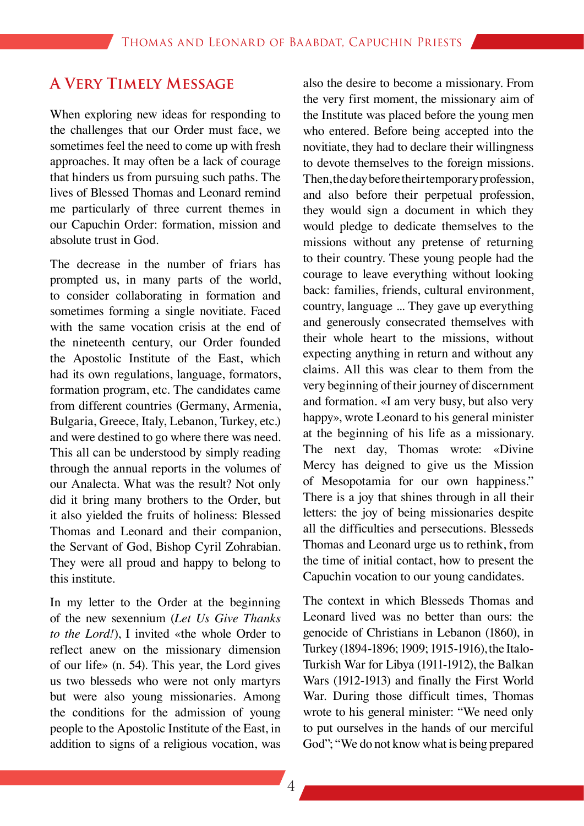#### **A Very Timely Message**

When exploring new ideas for responding to the challenges that our Order must face, we sometimes feel the need to come up with fresh approaches. It may often be a lack of courage that hinders us from pursuing such paths. The lives of Blessed Thomas and Leonard remind me particularly of three current themes in our Capuchin Order: formation, mission and absolute trust in God.

The decrease in the number of friars has prompted us, in many parts of the world, to consider collaborating in formation and sometimes forming a single novitiate. Faced with the same vocation crisis at the end of the nineteenth century, our Order founded the Apostolic Institute of the East, which had its own regulations, language, formators, formation program, etc. The candidates came from different countries (Germany, Armenia, Bulgaria, Greece, Italy, Lebanon, Turkey, etc.) and were destined to go where there was need. This all can be understood by simply reading through the annual reports in the volumes of our Analecta. What was the result? Not only did it bring many brothers to the Order, but it also yielded the fruits of holiness: Blessed Thomas and Leonard and their companion, the Servant of God, Bishop Cyril Zohrabian. They were all proud and happy to belong to this institute.

In my letter to the Order at the beginning of the new sexennium (*Let Us Give Thanks to the Lord!*), I invited «the whole Order to reflect anew on the missionary dimension of our life» (n. 54). This year, the Lord gives us two blesseds who were not only martyrs but were also young missionaries. Among the conditions for the admission of young people to the Apostolic Institute of the East, in addition to signs of a religious vocation, was

also the desire to become a missionary. From the very first moment, the missionary aim of the Institute was placed before the young men who entered. Before being accepted into the novitiate, they had to declare their willingness to devote themselves to the foreign missions. Then, the day before their temporary profession, and also before their perpetual profession, they would sign a document in which they would pledge to dedicate themselves to the missions without any pretense of returning to their country. These young people had the courage to leave everything without looking back: families, friends, cultural environment, country, language ... They gave up everything and generously consecrated themselves with their whole heart to the missions, without expecting anything in return and without any claims. All this was clear to them from the very beginning of their journey of discernment and formation. «I am very busy, but also very happy», wrote Leonard to his general minister at the beginning of his life as a missionary. The next day, Thomas wrote: «Divine Mercy has deigned to give us the Mission of Mesopotamia for our own happiness." There is a joy that shines through in all their letters: the joy of being missionaries despite all the difficulties and persecutions. Blesseds Thomas and Leonard urge us to rethink, from the time of initial contact, how to present the Capuchin vocation to our young candidates.

The context in which Blesseds Thomas and Leonard lived was no better than ours: the genocide of Christians in Lebanon (1860), in Turkey (1894-1896; 1909; 1915-1916), the Italo-Turkish War for Libya (1911-1912), the Balkan Wars (1912-1913) and finally the First World War. During those difficult times, Thomas wrote to his general minister: "We need only to put ourselves in the hands of our merciful God"; "We do not know what is being prepared